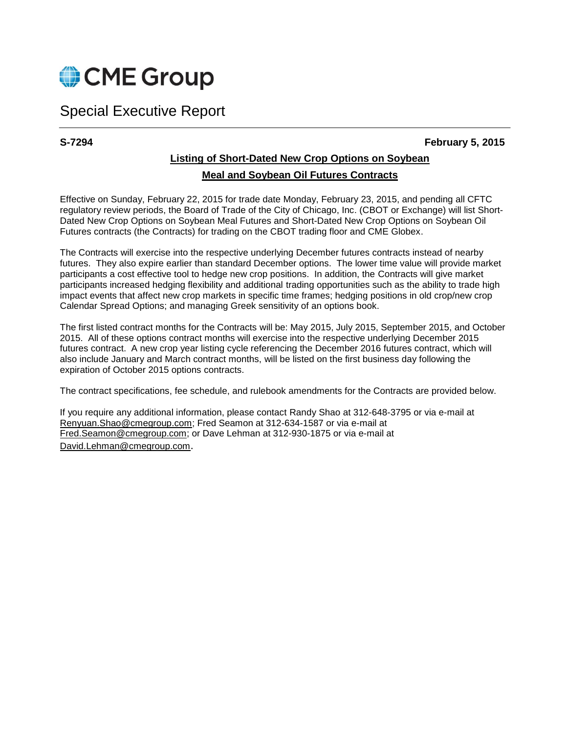

# Special Executive Report

#### **S-7294 February 5, 2015**

## **Listing of Short-Dated New Crop Options on Soybean Meal and Soybean Oil Futures Contracts**

Effective on Sunday, February 22, 2015 for trade date Monday, February 23, 2015, and pending all CFTC regulatory review periods, the Board of Trade of the City of Chicago, Inc. (CBOT or Exchange) will list Short-Dated New Crop Options on Soybean Meal Futures and Short-Dated New Crop Options on Soybean Oil Futures contracts (the Contracts) for trading on the CBOT trading floor and CME Globex.

The Contracts will exercise into the respective underlying December futures contracts instead of nearby futures. They also expire earlier than standard December options. The lower time value will provide market participants a cost effective tool to hedge new crop positions. In addition, the Contracts will give market participants increased hedging flexibility and additional trading opportunities such as the ability to trade high impact events that affect new crop markets in specific time frames; hedging positions in old crop/new crop Calendar Spread Options; and managing Greek sensitivity of an options book.

The first listed contract months for the Contracts will be: May 2015, July 2015, September 2015, and October 2015. All of these options contract months will exercise into the respective underlying December 2015 futures contract. A new crop year listing cycle referencing the December 2016 futures contract, which will also include January and March contract months, will be listed on the first business day following the expiration of October 2015 options contracts.

The contract specifications, fee schedule, and rulebook amendments for the Contracts are provided below.

If you require any additional information, please contact Randy Shao at 312-648-3795 or via e-mail at Renyuan.Shao@cmegroup.com; Fred Seamon at 312-634-1587 or via e-mail at [Fred.Seamon@cmegroup.com;](mailto:Fred.Seamon@cmegroup.com) or Dave Lehman at 312-930-1875 or via e-mail at [David.Lehman@cmegroup.com](mailto:David.Lehman@cmegroup.com).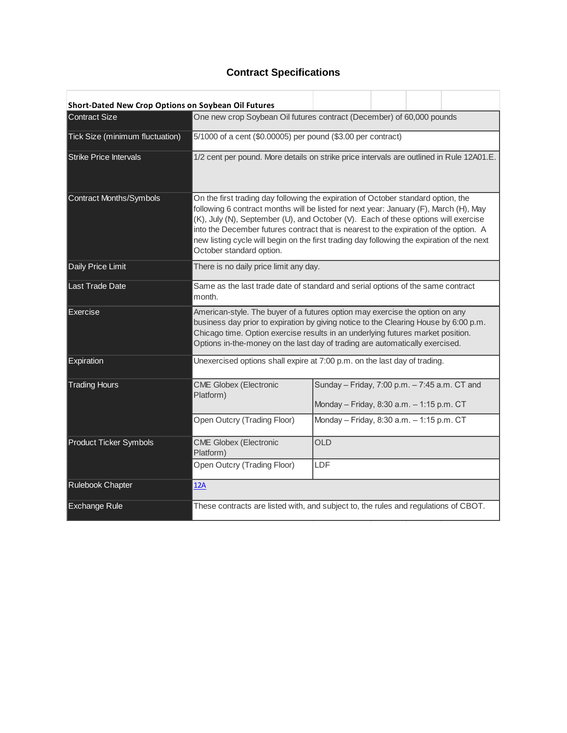# **Contract Specifications**

| Short-Dated New Crop Options on Soybean Oil Futures |                                                                                                                                                                                                                                                                                                                                                                                                                                                                                     |                                                                                            |  |  |  |
|-----------------------------------------------------|-------------------------------------------------------------------------------------------------------------------------------------------------------------------------------------------------------------------------------------------------------------------------------------------------------------------------------------------------------------------------------------------------------------------------------------------------------------------------------------|--------------------------------------------------------------------------------------------|--|--|--|
| <b>Contract Size</b>                                | One new crop Soybean Oil futures contract (December) of 60,000 pounds                                                                                                                                                                                                                                                                                                                                                                                                               |                                                                                            |  |  |  |
| Tick Size (minimum fluctuation)                     | 5/1000 of a cent (\$0.00005) per pound (\$3.00 per contract)                                                                                                                                                                                                                                                                                                                                                                                                                        |                                                                                            |  |  |  |
| <b>Strike Price Intervals</b>                       | 1/2 cent per pound. More details on strike price intervals are outlined in Rule 12A01.E.                                                                                                                                                                                                                                                                                                                                                                                            |                                                                                            |  |  |  |
| <b>Contract Months/Symbols</b>                      | On the first trading day following the expiration of October standard option, the<br>following 6 contract months will be listed for next year: January (F), March (H), May<br>(K), July (N), September (U), and October (V). Each of these options will exercise<br>into the December futures contract that is nearest to the expiration of the option. A<br>new listing cycle will begin on the first trading day following the expiration of the next<br>October standard option. |                                                                                            |  |  |  |
| Daily Price Limit                                   | There is no daily price limit any day.                                                                                                                                                                                                                                                                                                                                                                                                                                              |                                                                                            |  |  |  |
| Last Trade Date                                     | Same as the last trade date of standard and serial options of the same contract<br>month.                                                                                                                                                                                                                                                                                                                                                                                           |                                                                                            |  |  |  |
| Exercise                                            | American-style. The buyer of a futures option may exercise the option on any<br>business day prior to expiration by giving notice to the Clearing House by 6:00 p.m.<br>Chicago time. Option exercise results in an underlying futures market position.<br>Options in-the-money on the last day of trading are automatically exercised.                                                                                                                                             |                                                                                            |  |  |  |
| Expiration                                          | Unexercised options shall expire at 7:00 p.m. on the last day of trading.                                                                                                                                                                                                                                                                                                                                                                                                           |                                                                                            |  |  |  |
| <b>Trading Hours</b>                                | <b>CME Globex (Electronic</b><br>Platform)                                                                                                                                                                                                                                                                                                                                                                                                                                          | Sunday - Friday, 7:00 p.m. - 7:45 a.m. CT and<br>Monday - Friday, 8:30 a.m. - 1:15 p.m. CT |  |  |  |
|                                                     | Open Outcry (Trading Floor)                                                                                                                                                                                                                                                                                                                                                                                                                                                         | Monday - Friday, 8:30 a.m. - 1:15 p.m. CT                                                  |  |  |  |
| <b>Product Ticker Symbols</b>                       | <b>CME Globex (Electronic</b><br>Platform)                                                                                                                                                                                                                                                                                                                                                                                                                                          | OLD                                                                                        |  |  |  |
|                                                     | Open Outcry (Trading Floor)                                                                                                                                                                                                                                                                                                                                                                                                                                                         | LDF                                                                                        |  |  |  |
| Rulebook Chapter                                    | 12A                                                                                                                                                                                                                                                                                                                                                                                                                                                                                 |                                                                                            |  |  |  |
| <b>Exchange Rule</b>                                | These contracts are listed with, and subject to, the rules and regulations of CBOT.                                                                                                                                                                                                                                                                                                                                                                                                 |                                                                                            |  |  |  |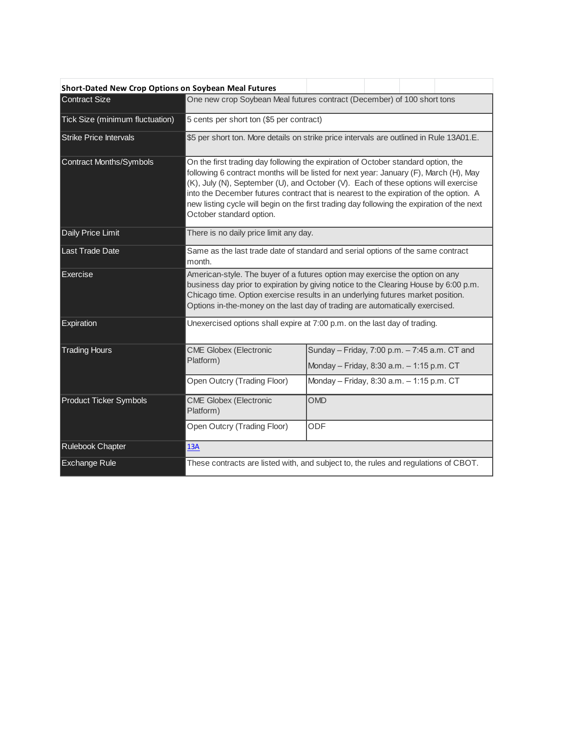| Short-Dated New Crop Options on Soybean Meal Futures |                                                                                                                                                                                                                                                                                                                                                                                                                                                                                     |                                                                                            |  |  |  |
|------------------------------------------------------|-------------------------------------------------------------------------------------------------------------------------------------------------------------------------------------------------------------------------------------------------------------------------------------------------------------------------------------------------------------------------------------------------------------------------------------------------------------------------------------|--------------------------------------------------------------------------------------------|--|--|--|
| <b>Contract Size</b>                                 | One new crop Soybean Meal futures contract (December) of 100 short tons                                                                                                                                                                                                                                                                                                                                                                                                             |                                                                                            |  |  |  |
| Tick Size (minimum fluctuation)                      | 5 cents per short ton (\$5 per contract)                                                                                                                                                                                                                                                                                                                                                                                                                                            |                                                                                            |  |  |  |
| <b>Strike Price Intervals</b>                        | \$5 per short ton. More details on strike price intervals are outlined in Rule 13A01.E.                                                                                                                                                                                                                                                                                                                                                                                             |                                                                                            |  |  |  |
| Contract Months/Symbols                              | On the first trading day following the expiration of October standard option, the<br>following 6 contract months will be listed for next year: January (F), March (H), May<br>(K), July (N), September (U), and October (V). Each of these options will exercise<br>into the December futures contract that is nearest to the expiration of the option. A<br>new listing cycle will begin on the first trading day following the expiration of the next<br>October standard option. |                                                                                            |  |  |  |
| Daily Price Limit                                    | There is no daily price limit any day.                                                                                                                                                                                                                                                                                                                                                                                                                                              |                                                                                            |  |  |  |
| Last Trade Date                                      | Same as the last trade date of standard and serial options of the same contract<br>month.                                                                                                                                                                                                                                                                                                                                                                                           |                                                                                            |  |  |  |
| Exercise                                             | American-style. The buyer of a futures option may exercise the option on any<br>business day prior to expiration by giving notice to the Clearing House by 6:00 p.m.<br>Chicago time. Option exercise results in an underlying futures market position.<br>Options in-the-money on the last day of trading are automatically exercised.                                                                                                                                             |                                                                                            |  |  |  |
| Expiration                                           | Unexercised options shall expire at 7:00 p.m. on the last day of trading.                                                                                                                                                                                                                                                                                                                                                                                                           |                                                                                            |  |  |  |
| <b>Trading Hours</b>                                 | <b>CME Globex (Electronic</b><br>Platform)                                                                                                                                                                                                                                                                                                                                                                                                                                          | Sunday - Friday, 7:00 p.m. - 7:45 a.m. CT and<br>Monday - Friday, 8:30 a.m. - 1:15 p.m. CT |  |  |  |
|                                                      | Open Outcry (Trading Floor)                                                                                                                                                                                                                                                                                                                                                                                                                                                         | Monday - Friday, 8:30 a.m. - 1:15 p.m. CT                                                  |  |  |  |
| <b>Product Ticker Symbols</b>                        | <b>CME Globex (Electronic</b><br>Platform)                                                                                                                                                                                                                                                                                                                                                                                                                                          | <b>OMD</b>                                                                                 |  |  |  |
|                                                      | Open Outcry (Trading Floor)                                                                                                                                                                                                                                                                                                                                                                                                                                                         | ODF                                                                                        |  |  |  |
| Rulebook Chapter                                     | 13A                                                                                                                                                                                                                                                                                                                                                                                                                                                                                 |                                                                                            |  |  |  |
| <b>Exchange Rule</b>                                 | These contracts are listed with, and subject to, the rules and regulations of CBOT.                                                                                                                                                                                                                                                                                                                                                                                                 |                                                                                            |  |  |  |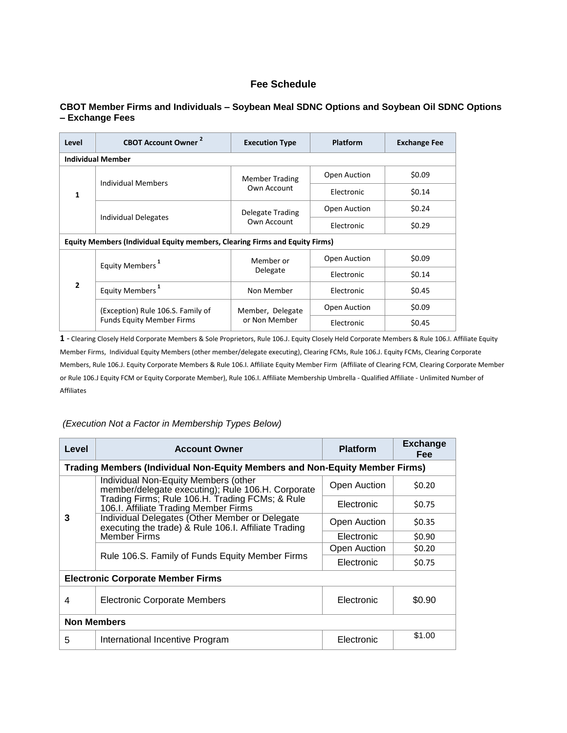#### **Fee Schedule**

#### **CBOT Member Firms and Individuals – Soybean Meal SDNC Options and Soybean Oil SDNC Options – Exchange Fees**

| Level                                                                       | <b>CBOT Account Owner</b>         | <b>Execution Type</b>                | Platform     | <b>Exchange Fee</b> |  |
|-----------------------------------------------------------------------------|-----------------------------------|--------------------------------------|--------------|---------------------|--|
| <b>Individual Member</b>                                                    |                                   |                                      |              |                     |  |
| 1                                                                           | Individual Members                | <b>Member Trading</b><br>Own Account | Open Auction | \$0.09              |  |
|                                                                             |                                   |                                      | Electronic   | \$0.14              |  |
|                                                                             |                                   | Delegate Trading                     | Open Auction | \$0.24              |  |
|                                                                             | Individual Delegates              | Own Account                          | Electronic   | \$0.29              |  |
| Equity Members (Individual Equity members, Clearing Firms and Equity Firms) |                                   |                                      |              |                     |  |
| $\overline{2}$                                                              | Equity Members <sup>1</sup>       | Member or<br>Delegate                | Open Auction | \$0.09              |  |
|                                                                             |                                   |                                      | Electronic   | \$0.14              |  |
|                                                                             | Equity Members <sup>1</sup>       | Non Member                           | Electronic   | \$0.45              |  |
|                                                                             | (Exception) Rule 106.S. Family of | Member, Delegate                     | Open Auction | \$0.09              |  |
|                                                                             | <b>Funds Equity Member Firms</b>  | or Non Member                        | Electronic   | \$0.45              |  |

**1** - Clearing Closely Held Corporate Members & Sole Proprietors, Rule 106.J. Equity Closely Held Corporate Members & Rule 106.I. Affiliate Equity Member Firms, Individual Equity Members (other member/delegate executing), Clearing FCMs, Rule 106.J. Equity FCMs, Clearing Corporate Members, Rule 106.J. Equity Corporate Members & Rule 106.I. Affiliate Equity Member Firm (Affiliate of Clearing FCM, Clearing Corporate Member or Rule 106.J Equity FCM or Equity Corporate Member), Rule 106.I. Affiliate Membership Umbrella - Qualified Affiliate - Unlimited Number of Affiliates

#### *(Execution Not a Factor in Membership Types Below)*

| Level                                                                       | <b>Account Owner</b>                                                                                   | <b>Platform</b> | <b>Exchange</b><br><b>Fee</b> |  |
|-----------------------------------------------------------------------------|--------------------------------------------------------------------------------------------------------|-----------------|-------------------------------|--|
| Trading Members (Individual Non-Equity Members and Non-Equity Member Firms) |                                                                                                        |                 |                               |  |
| 3                                                                           | Individual Non-Equity Members (other<br>member/delegate executing); Rule 106.H. Corporate              | Open Auction    | \$0.20                        |  |
|                                                                             | Trading Firms; Rule 106.H. Trading FCMs; & Rule<br>106.I. Affiliate Trading Member Firms               | Electronic      | \$0.75                        |  |
|                                                                             | Individual Delegates (Other Member or Delegate<br>executing the trade) & Rule 106.I. Affiliate Trading | Open Auction    | \$0.35                        |  |
|                                                                             | <b>Member Firms</b>                                                                                    | Electronic      | \$0.90                        |  |
|                                                                             |                                                                                                        | Open Auction    | \$0.20                        |  |
|                                                                             | Rule 106.S. Family of Funds Equity Member Firms                                                        | Electronic      | \$0.75                        |  |
| <b>Electronic Corporate Member Firms</b>                                    |                                                                                                        |                 |                               |  |
| 4                                                                           | Electronic Corporate Members                                                                           | Electronic      | \$0.90                        |  |
| <b>Non Members</b>                                                          |                                                                                                        |                 |                               |  |
| 5                                                                           | International Incentive Program                                                                        | Electronic      | \$1.00                        |  |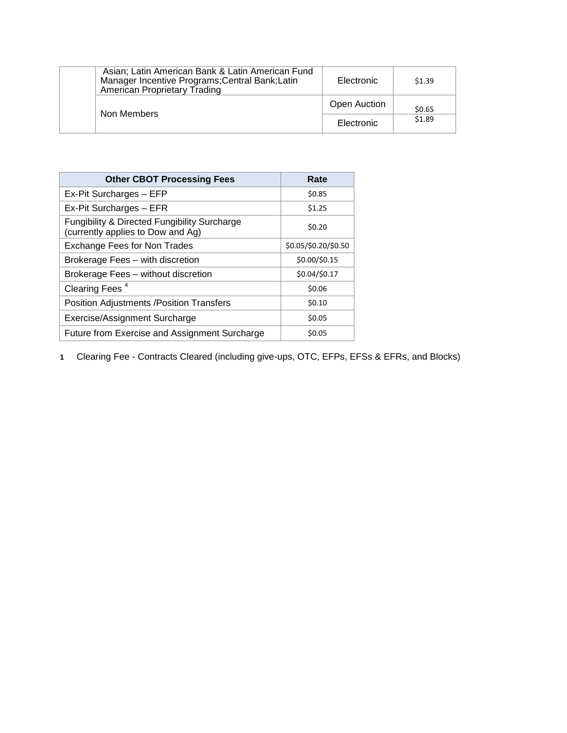| Asian; Latin American Bank & Latin American Fund<br>Manager Incentive Programs; Central Bank; Latin<br>American Proprietary Trading | Electronic   | \$1.39 |
|-------------------------------------------------------------------------------------------------------------------------------------|--------------|--------|
| Non Members                                                                                                                         | Open Auction | \$0.65 |
|                                                                                                                                     | Electronic   | \$1.89 |

| <b>Other CBOT Processing Fees</b>                                                            | Rate                 |  |
|----------------------------------------------------------------------------------------------|----------------------|--|
| Ex-Pit Surcharges - EFP                                                                      | \$0.85               |  |
| Ex-Pit Surcharges - EFR                                                                      | \$1.25               |  |
| <b>Fungibility &amp; Directed Fungibility Surcharge</b><br>(currently applies to Dow and Ag) | \$0.20               |  |
| Exchange Fees for Non Trades                                                                 | \$0.05/\$0.20/\$0.50 |  |
| Brokerage Fees - with discretion                                                             | \$0.00/\$0.15        |  |
| Brokerage Fees - without discretion                                                          | \$0.04/\$0.17        |  |
| Clearing Fees <sup>4</sup>                                                                   | \$0.06               |  |
| <b>Position Adjustments / Position Transfers</b>                                             | \$0.10               |  |
| Exercise/Assignment Surcharge                                                                | \$0.05               |  |
| Future from Exercise and Assignment Surcharge                                                | \$0.05               |  |

**1** Clearing Fee - Contracts Cleared (including give-ups, OTC, EFPs, EFSs & EFRs, and Blocks)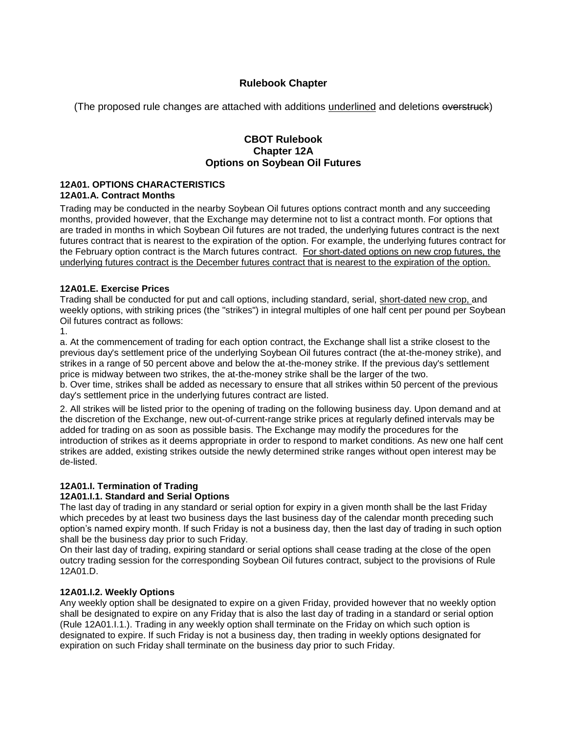### **Rulebook Chapter**

(The proposed rule changes are attached with additions underlined and deletions overstruck)

#### **CBOT Rulebook Chapter 12A Options on Soybean Oil Futures**

#### **12A01. OPTIONS CHARACTERISTICS 12A01.A. Contract Months**

Trading may be conducted in the nearby Soybean Oil futures options contract month and any succeeding months, provided however, that the Exchange may determine not to list a contract month. For options that are traded in months in which Soybean Oil futures are not traded, the underlying futures contract is the next futures contract that is nearest to the expiration of the option. For example, the underlying futures contract for the February option contract is the March futures contract. For short-dated options on new crop futures, the underlying futures contract is the December futures contract that is nearest to the expiration of the option.

#### **12A01.E. Exercise Prices**

Trading shall be conducted for put and call options, including standard, serial, short-dated new crop, and weekly options, with striking prices (the "strikes") in integral multiples of one half cent per pound per Soybean Oil futures contract as follows:

1.

a. At the commencement of trading for each option contract, the Exchange shall list a strike closest to the previous day's settlement price of the underlying Soybean Oil futures contract (the at-the-money strike), and strikes in a range of 50 percent above and below the at-the-money strike. If the previous day's settlement price is midway between two strikes, the at-the-money strike shall be the larger of the two.

b. Over time, strikes shall be added as necessary to ensure that all strikes within 50 percent of the previous day's settlement price in the underlying futures contract are listed.

2. All strikes will be listed prior to the opening of trading on the following business day. Upon demand and at the discretion of the Exchange, new out-of-current-range strike prices at regularly defined intervals may be added for trading on as soon as possible basis. The Exchange may modify the procedures for the introduction of strikes as it deems appropriate in order to respond to market conditions. As new one half cent strikes are added, existing strikes outside the newly determined strike ranges without open interest may be de-listed.

#### **12A01.I. Termination of Trading**

#### **12A01.I.1. Standard and Serial Options**

The last day of trading in any standard or serial option for expiry in a given month shall be the last Friday which precedes by at least two business days the last business day of the calendar month preceding such option's named expiry month. If such Friday is not a business day, then the last day of trading in such option shall be the business day prior to such Friday.

On their last day of trading, expiring standard or serial options shall cease trading at the close of the open outcry trading session for the corresponding Soybean Oil futures contract, subject to the provisions of Rule 12A01.D.

#### **12A01.I.2. Weekly Options**

Any weekly option shall be designated to expire on a given Friday, provided however that no weekly option shall be designated to expire on any Friday that is also the last day of trading in a standard or serial option (Rule 12A01.I.1.). Trading in any weekly option shall terminate on the Friday on which such option is designated to expire. If such Friday is not a business day, then trading in weekly options designated for expiration on such Friday shall terminate on the business day prior to such Friday.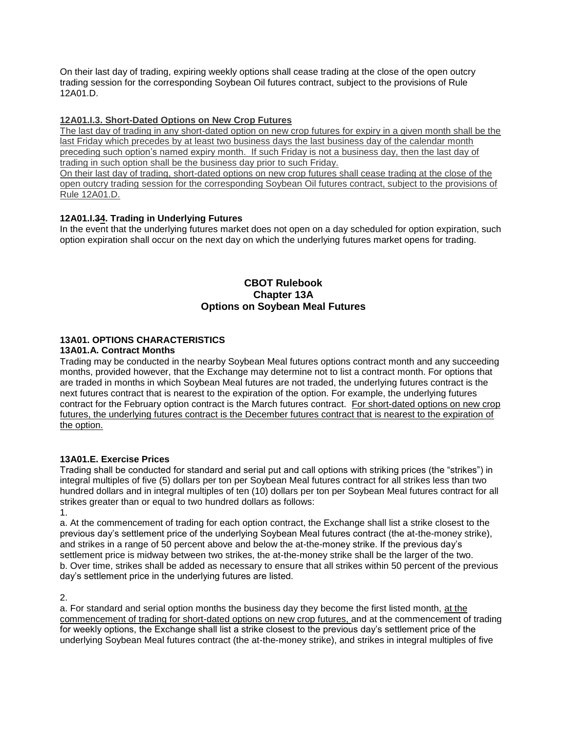On their last day of trading, expiring weekly options shall cease trading at the close of the open outcry trading session for the corresponding Soybean Oil futures contract, subject to the provisions of Rule 12A01.D.

#### **12A01.I.3. Short-Dated Options on New Crop Futures**

The last day of trading in any short-dated option on new crop futures for expiry in a given month shall be the last Friday which precedes by at least two business days the last business day of the calendar month preceding such option's named expiry month. If such Friday is not a business day, then the last day of trading in such option shall be the business day prior to such Friday.

On their last day of trading, short-dated options on new crop futures shall cease trading at the close of the open outcry trading session for the corresponding Soybean Oil futures contract, subject to the provisions of Rule 12A01.D.

#### **12A01.I.34. Trading in Underlying Futures**

In the event that the underlying futures market does not open on a day scheduled for option expiration, such option expiration shall occur on the next day on which the underlying futures market opens for trading.

#### **CBOT Rulebook Chapter 13A Options on Soybean Meal Futures**

#### **13A01. OPTIONS CHARACTERISTICS**

#### **13A01.A. Contract Months**

Trading may be conducted in the nearby Soybean Meal futures options contract month and any succeeding months, provided however, that the Exchange may determine not to list a contract month. For options that are traded in months in which Soybean Meal futures are not traded, the underlying futures contract is the next futures contract that is nearest to the expiration of the option. For example, the underlying futures contract for the February option contract is the March futures contract. For short-dated options on new crop futures, the underlying futures contract is the December futures contract that is nearest to the expiration of the option.

#### **13A01.E. Exercise Prices**

Trading shall be conducted for standard and serial put and call options with striking prices (the "strikes") in integral multiples of five (5) dollars per ton per Soybean Meal futures contract for all strikes less than two hundred dollars and in integral multiples of ten (10) dollars per ton per Soybean Meal futures contract for all strikes greater than or equal to two hundred dollars as follows:

1.

a. At the commencement of trading for each option contract, the Exchange shall list a strike closest to the previous day's settlement price of the underlying Soybean Meal futures contract (the at-the-money strike), and strikes in a range of 50 percent above and below the at-the-money strike. If the previous day's settlement price is midway between two strikes, the at-the-money strike shall be the larger of the two. b. Over time, strikes shall be added as necessary to ensure that all strikes within 50 percent of the previous day's settlement price in the underlying futures are listed.

2.

a. For standard and serial option months the business day they become the first listed month, at the commencement of trading for short-dated options on new crop futures, and at the commencement of trading for weekly options, the Exchange shall list a strike closest to the previous day's settlement price of the underlying Soybean Meal futures contract (the at-the-money strike), and strikes in integral multiples of five